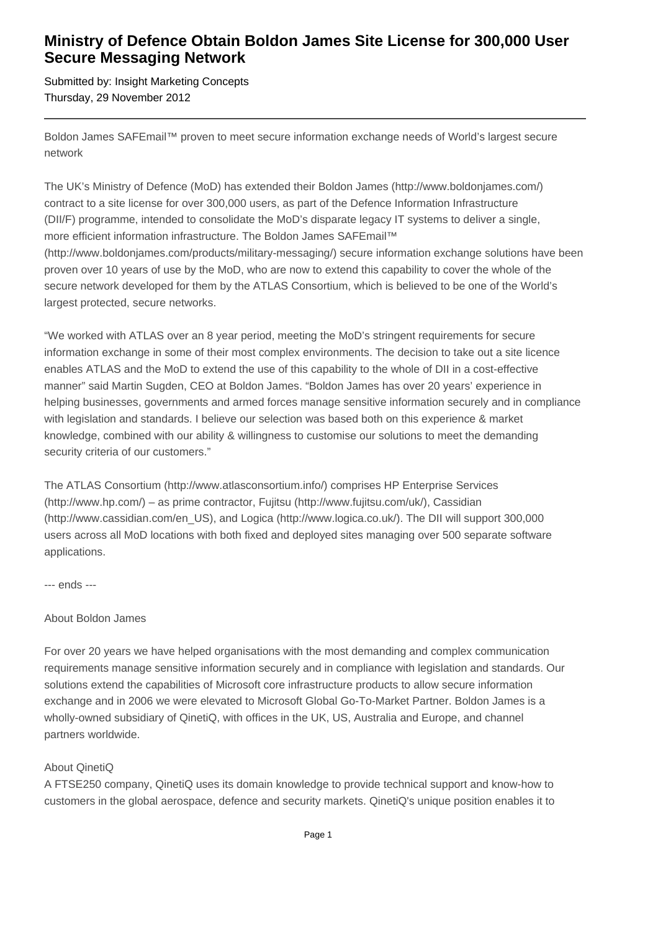## **Ministry of Defence Obtain Boldon James Site License for 300,000 User Secure Messaging Network**

Submitted by: Insight Marketing Concepts Thursday, 29 November 2012

Boldon James SAFEmail™ proven to meet secure information exchange needs of World's largest secure network

The UK's Ministry of Defence (MoD) has extended their Boldon James (http://www.boldonjames.com/) contract to a site license for over 300,000 users, as part of the Defence Information Infrastructure (DII/F) programme, intended to consolidate the MoD's disparate legacy IT systems to deliver a single, more efficient information infrastructure. The Boldon James SAFEmail™ (http://www.boldonjames.com/products/military-messaging/) secure information exchange solutions have been proven over 10 years of use by the MoD, who are now to extend this capability to cover the whole of the secure network developed for them by the ATLAS Consortium, which is believed to be one of the World's largest protected, secure networks.

"We worked with ATLAS over an 8 year period, meeting the MoD's stringent requirements for secure information exchange in some of their most complex environments. The decision to take out a site licence enables ATLAS and the MoD to extend the use of this capability to the whole of DII in a cost-effective manner" said Martin Sugden, CEO at Boldon James. "Boldon James has over 20 years' experience in helping businesses, governments and armed forces manage sensitive information securely and in compliance with legislation and standards. I believe our selection was based both on this experience & market knowledge, combined with our ability & willingness to customise our solutions to meet the demanding security criteria of our customers."

The ATLAS Consortium (http://www.atlasconsortium.info/) comprises HP Enterprise Services (http://www.hp.com/) – as prime contractor, Fujitsu (http://www.fujitsu.com/uk/), Cassidian (http://www.cassidian.com/en\_US), and Logica (http://www.logica.co.uk/). The DII will support 300,000 users across all MoD locations with both fixed and deployed sites managing over 500 separate software applications.

--- ends ---

## About Boldon James

For over 20 years we have helped organisations with the most demanding and complex communication requirements manage sensitive information securely and in compliance with legislation and standards. Our solutions extend the capabilities of Microsoft core infrastructure products to allow secure information exchange and in 2006 we were elevated to Microsoft Global Go-To-Market Partner. Boldon James is a wholly-owned subsidiary of QinetiQ, with offices in the UK, US, Australia and Europe, and channel partners worldwide.

## About QinetiQ

A FTSE250 company, QinetiQ uses its domain knowledge to provide technical support and know-how to customers in the global aerospace, defence and security markets. QinetiQ's unique position enables it to